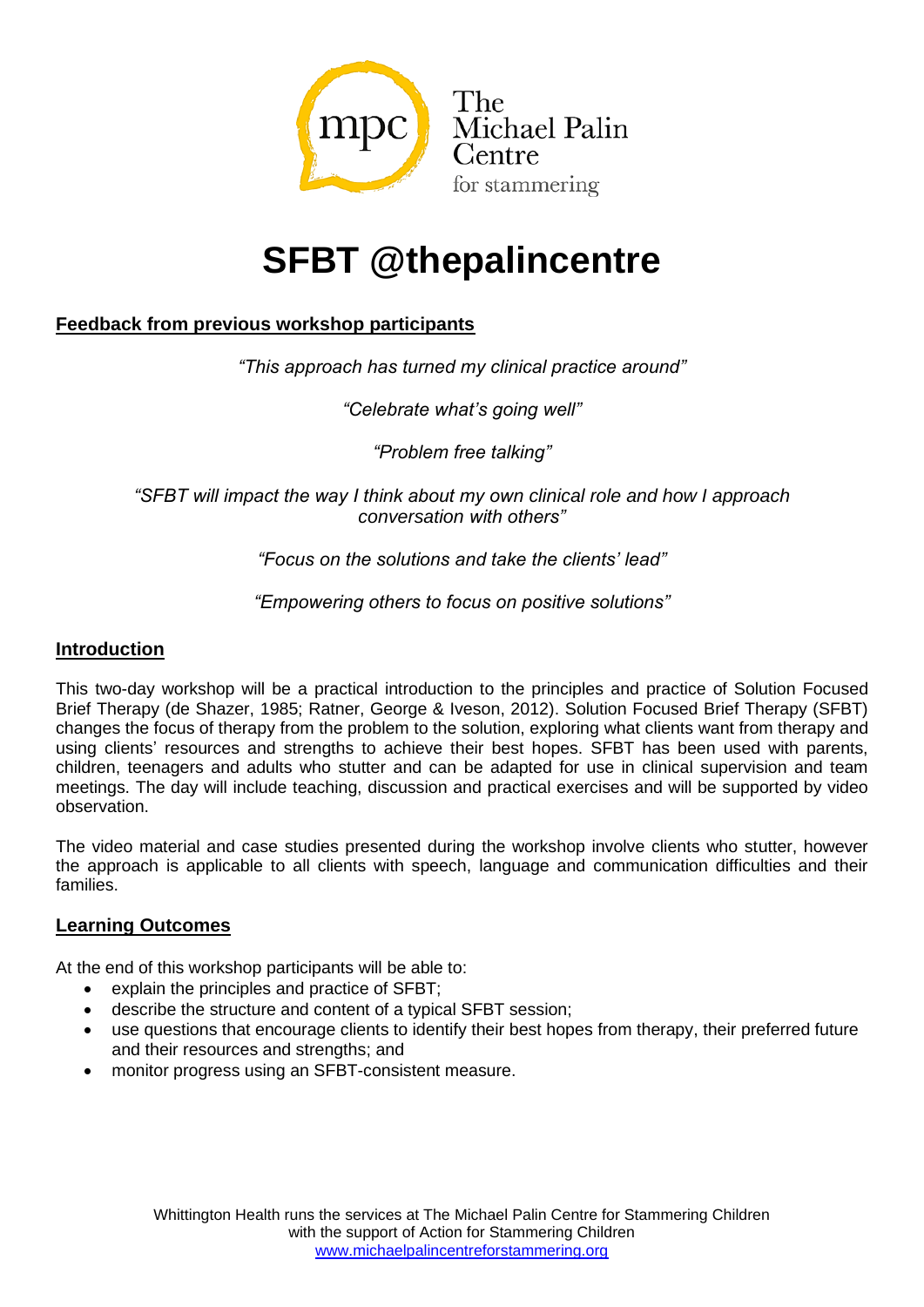

# **SFBT @thepalincentre**

## **Feedback from previous workshop participants**

*"This approach has turned my clinical practice around"*

*"Celebrate what's going well"*

*"Problem free talking"*

*"SFBT will impact the way I think about my own clinical role and how I approach conversation with others"*

*"Focus on the solutions and take the clients' lead"*

*"Empowering others to focus on positive solutions"*

#### **Introduction**

This two-day workshop will be a practical introduction to the principles and practice of Solution Focused Brief Therapy (de Shazer, 1985; Ratner, George & Iveson, 2012). Solution Focused Brief Therapy (SFBT) changes the focus of therapy from the problem to the solution, exploring what clients want from therapy and using clients' resources and strengths to achieve their best hopes. SFBT has been used with parents, children, teenagers and adults who stutter and can be adapted for use in clinical supervision and team meetings. The day will include teaching, discussion and practical exercises and will be supported by video observation.

The video material and case studies presented during the workshop involve clients who stutter, however the approach is applicable to all clients with speech, language and communication difficulties and their families.

### **Learning Outcomes**

At the end of this workshop participants will be able to:

- explain the principles and practice of SFBT;
- describe the structure and content of a typical SFBT session;
- use questions that encourage clients to identify their best hopes from therapy, their preferred future and their resources and strengths; and
- monitor progress using an SFBT-consistent measure.